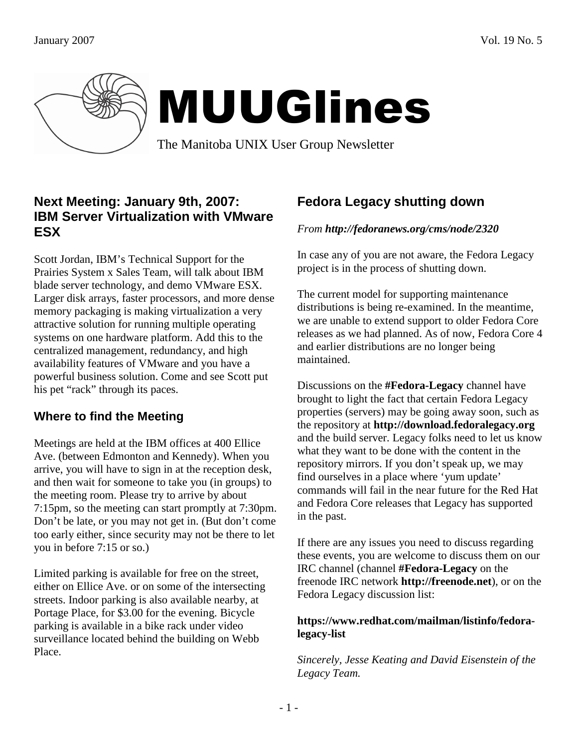

# MUUGlines

The Manitoba UNIX User Group Newsletter

#### **Next Meeting: January 9th, 2007: IBM Server Virtualization with VMware ESX**

Scott Jordan, IBM's Technical Support for the Prairies System x Sales Team, will talk about IBM blade server technology, and demo VMware ESX. Larger disk arrays, faster processors, and more dense memory packaging is making virtualization a very attractive solution for running multiple operating systems on one hardware platform. Add this to the centralized management, redundancy, and high availability features of VMware and you have a powerful business solution. Come and see Scott put his pet "rack" through its paces.

#### **Where to find the Meeting**

Meetings are held at the IBM offices at 400 Ellice Ave. (between Edmonton and Kennedy). When you arrive, you will have to sign in at the reception desk, and then wait for someone to take you (in groups) to the meeting room. Please try to arrive by about 7:15pm, so the meeting can start promptly at 7:30pm. Don't be late, or you may not get in. (But don't come too early either, since security may not be there to let you in before 7:15 or so.)

Limited parking is available for free on the street, either on Ellice Ave. or on some of the intersecting streets. Indoor parking is also available nearby, at Portage Place, for \$3.00 for the evening. Bicycle parking is available in a bike rack under video surveillance located behind the building on Webb Place.

## **Fedora Legacy shutting down**

#### *From http://fedoranews.org/cms/node/2320*

In case any of you are not aware, the Fedora Legacy project is in the process of shutting down.

The current model for supporting maintenance distributions is being re-examined. In the meantime, we are unable to extend support to older Fedora Core releases as we had planned. As of now, Fedora Core 4 and earlier distributions are no longer being maintained.

Discussions on the **#Fedora-Legacy** channel have brought to light the fact that certain Fedora Legacy properties (servers) may be going away soon, such as the repository at **http://download.fedoralegacy.org** and the build server. Legacy folks need to let us know what they want to be done with the content in the repository mirrors. If you don't speak up, we may find ourselves in a place where 'yum update' commands will fail in the near future for the Red Hat and Fedora Core releases that Legacy has supported in the past.

If there are any issues you need to discuss regarding these events, you are welcome to discuss them on our IRC channel (channel **#Fedora-Legacy** on the freenode IRC network **http://freenode.net**), or on the Fedora Legacy discussion list:

#### **https://www.redhat.com/mailman/listinfo/fedoralegacy-list**

*Sincerely, Jesse Keating and David Eisenstein of the Legacy Team.*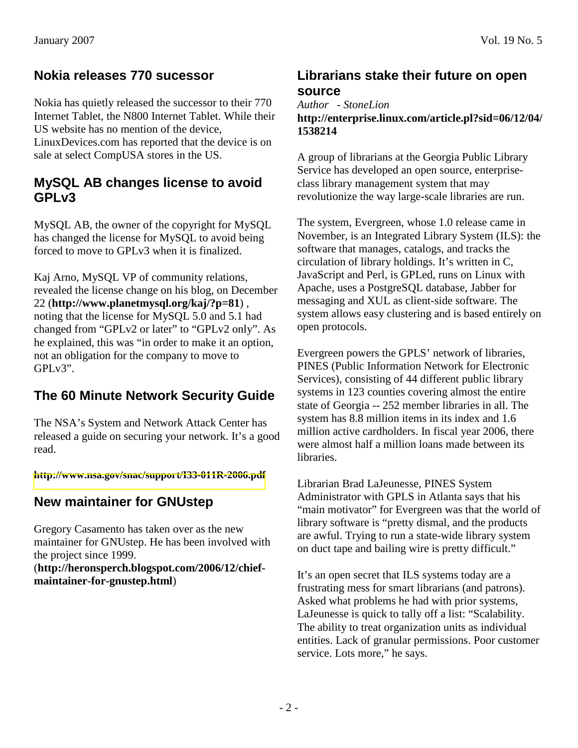#### **Nokia releases 770 sucessor**

Nokia has quietly released the successor to their 770 Internet Tablet, the N800 Internet Tablet. While their US website has no mention of the device, LinuxDevices.com has reported that the device is on sale at select CompUSA stores in the US.

#### **MySQL AB changes license to avoid GPLv3**

MySQL AB, the owner of the copyright for MySQL has changed the license for MySQL to avoid being forced to move to GPLv3 when it is finalized.

Kaj Arno, MySQL VP of community relations, revealed the license change on his blog, on December 22 (**http://www.planetmysql.org/kaj/?p=81**) , noting that the license for MySQL 5.0 and 5.1 had changed from "GPLv2 or later" to "GPLv2 only". As he explained, this was "in order to make it an option, not an obligation for the company to move to GPLv3".

## **The 60 Minute Network Security Guide**

The NSA's System and Network Attack Center has released a guide on securing your network. It's a good read.

**<http://www.nsa.gov/snac/support/I33-011R-2006.pdf>** 

#### **New maintainer for GNUstep**

Gregory Casamento has taken over as the new maintainer for GNUstep. He has been involved with the project since 1999. (**http://heronsperch.blogspot.com/2006/12/chief-**

**maintainer-for-gnustep.html**)

#### **Librarians stake their future on open source**

#### *Author - StoneLion*  **http://enterprise.linux.com/article.pl?sid=06/12/04/ 1538214**

A group of librarians at the Georgia Public Library Service has developed an open source, enterpriseclass library management system that may revolutionize the way large-scale libraries are run.

The system, Evergreen, whose 1.0 release came in November, is an Integrated Library System (ILS): the software that manages, catalogs, and tracks the circulation of library holdings. It's written in C, JavaScript and Perl, is GPLed, runs on Linux with Apache, uses a PostgreSQL database, Jabber for messaging and XUL as client-side software. The system allows easy clustering and is based entirely on open protocols.

Evergreen powers the GPLS' network of libraries, PINES (Public Information Network for Electronic Services), consisting of 44 different public library systems in 123 counties covering almost the entire state of Georgia -- 252 member libraries in all. The system has 8.8 million items in its index and 1.6 million active cardholders. In fiscal year 2006, there were almost half a million loans made between its libraries.

Librarian Brad LaJeunesse, PINES System Administrator with GPLS in Atlanta says that his "main motivator" for Evergreen was that the world of library software is "pretty dismal, and the products are awful. Trying to run a state-wide library system on duct tape and bailing wire is pretty difficult."

It's an open secret that ILS systems today are a frustrating mess for smart librarians (and patrons). Asked what problems he had with prior systems, LaJeunesse is quick to tally off a list: "Scalability. The ability to treat organization units as individual entities. Lack of granular permissions. Poor customer service. Lots more," he says.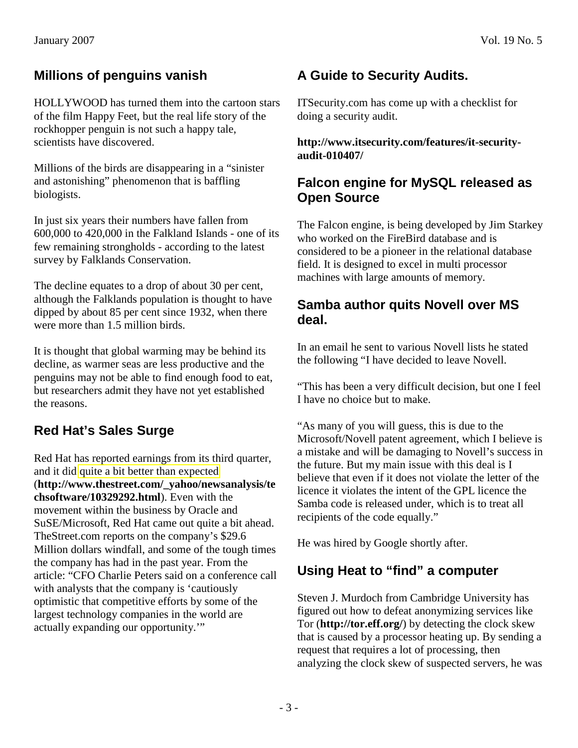#### **Millions of penguins vanish**

HOLLYWOOD has turned them into the cartoon stars of the film Happy Feet, but the real life story of the rockhopper penguin is not such a happy tale, scientists have discovered.

Millions of the birds are disappearing in a "sinister and astonishing" phenomenon that is baffling biologists.

In just six years their numbers have fallen from 600,000 to 420,000 in the Falkland Islands - one of its few remaining strongholds - according to the latest survey by Falklands Conservation.

The decline equates to a drop of about 30 per cent, although the Falklands population is thought to have dipped by about 85 per cent since 1932, when there were more than 1.5 million birds.

It is thought that global warming may be behind its decline, as warmer seas are less productive and the penguins may not be able to find enough food to eat, but researchers admit they have not yet established the reasons.

# **Red Hat's Sales Surge**

Red Hat has reported earnings from its third quarter, and it did [quite a bit better than expected](http://www.thestreet.com/_yahoo/newsanalysis/techsoftware/10329292.html)  (**http://www.thestreet.com/\_yahoo/newsanalysis/te chsoftware/10329292.html**). Even with the movement within the business by Oracle and SuSE/Microsoft, Red Hat came out quite a bit ahead. TheStreet.com reports on the company's \$29.6 Million dollars windfall, and some of the tough times the company has had in the past year. From the article: "CFO Charlie Peters said on a conference call with analysts that the company is 'cautiously optimistic that competitive efforts by some of the largest technology companies in the world are actually expanding our opportunity.'"

# **A Guide to Security Audits.**

ITSecurity.com has come up with a checklist for doing a security audit.

**http://www.itsecurity.com/features/it-securityaudit-010407/** 

#### **Falcon engine for MySQL released as Open Source**

The Falcon engine, is being developed by Jim Starkey who worked on the FireBird database and is considered to be a pioneer in the relational database field. It is designed to excel in multi processor machines with large amounts of memory.

#### **Samba author quits Novell over MS deal.**

In an email he sent to various Novell lists he stated the following "I have decided to leave Novell.

"This has been a very difficult decision, but one I feel I have no choice but to make.

"As many of you will guess, this is due to the Microsoft/Novell patent agreement, which I believe is a mistake and will be damaging to Novell's success in the future. But my main issue with this deal is I believe that even if it does not violate the letter of the licence it violates the intent of the GPL licence the Samba code is released under, which is to treat all recipients of the code equally."

He was hired by Google shortly after.

## **Using Heat to "find" a computer**

Steven J. Murdoch from Cambridge University has figured out how to defeat anonymizing services like Tor (**http://tor.eff.org/**) by detecting the clock skew that is caused by a processor heating up. By sending a request that requires a lot of processing, then analyzing the clock skew of suspected servers, he was